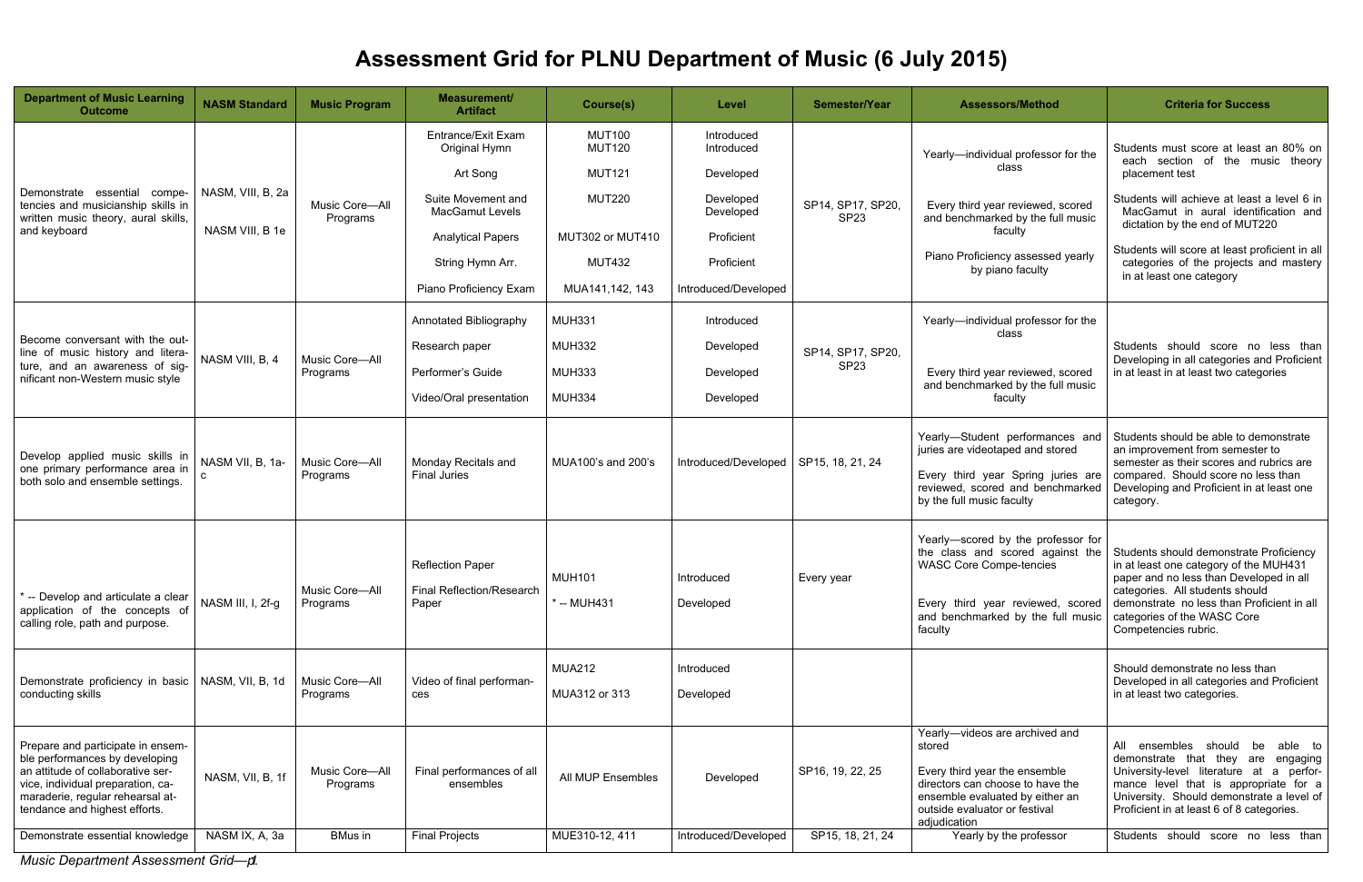*Music Department Assessment Grid—p. 1*



## **Assessment Grid for PLNU Department of Music (6 July 2015)**

| <b>Department of Music Learning</b><br><b>Outcome</b>                                                                                                                                                                                                 | <b>NASM Standard</b>                 | <b>Music Program</b>                         | <b>Measurement/</b><br><b>Artifact</b>                          | Course(s)                                       | Level                                 | Semester/Year                         | <b>Assessors/Method</b>                                                                                                                                                                                                      | <b>Criteria for Success</b>                                                                                                                                                                                                                                                                      |
|-------------------------------------------------------------------------------------------------------------------------------------------------------------------------------------------------------------------------------------------------------|--------------------------------------|----------------------------------------------|-----------------------------------------------------------------|-------------------------------------------------|---------------------------------------|---------------------------------------|------------------------------------------------------------------------------------------------------------------------------------------------------------------------------------------------------------------------------|--------------------------------------------------------------------------------------------------------------------------------------------------------------------------------------------------------------------------------------------------------------------------------------------------|
|                                                                                                                                                                                                                                                       |                                      |                                              | Entrance/Exit Exam<br>Original Hymn<br>Art Song                 | <b>MUT100</b><br><b>MUT120</b><br><b>MUT121</b> | Introduced<br>Introduced<br>Developed |                                       | Yearly-individual professor for the<br>class                                                                                                                                                                                 | Students must score at least an 80% on<br>each section of the music theory<br>placement test                                                                                                                                                                                                     |
| Demonstrate essential<br>compe-<br>tencies and musicianship skills in<br>written music theory, aural skills,<br>and keyboard                                                                                                                          | NASM, VIII, B, 2a<br>NASM VIII, B 1e | Music Core-All<br>Programs                   | Suite Movement and<br><b>MacGamut Levels</b>                    | <b>MUT220</b>                                   | Developed<br>Developed                | SP14, SP17, SP20,<br>SP <sub>23</sub> | Every third year reviewed, scored<br>and benchmarked by the full music                                                                                                                                                       | Students will achieve at least a level 6 in<br>MacGamut in aural identification and<br>dictation by the end of MUT220                                                                                                                                                                            |
|                                                                                                                                                                                                                                                       |                                      |                                              | <b>Analytical Papers</b>                                        | MUT302 or MUT410                                | Proficient                            |                                       | faculty                                                                                                                                                                                                                      | Students will score at least proficient in all<br>categories of the projects and mastery<br>in at least one category                                                                                                                                                                             |
|                                                                                                                                                                                                                                                       |                                      |                                              | String Hymn Arr.                                                | <b>MUT432</b>                                   | Proficient                            |                                       | Piano Proficiency assessed yearly<br>by piano faculty                                                                                                                                                                        |                                                                                                                                                                                                                                                                                                  |
|                                                                                                                                                                                                                                                       |                                      |                                              | Piano Proficiency Exam                                          | MUA141,142, 143                                 | Introduced/Developed                  |                                       |                                                                                                                                                                                                                              |                                                                                                                                                                                                                                                                                                  |
|                                                                                                                                                                                                                                                       |                                      |                                              | Annotated Bibliography                                          | <b>MUH331</b>                                   | Introduced                            |                                       | Yearly-individual professor for the<br>class                                                                                                                                                                                 |                                                                                                                                                                                                                                                                                                  |
| Become conversant with the out-<br>line of music history and litera-<br>ture, and an awareness of sig-<br>nificant non-Western music style                                                                                                            | NASM VIII, B, 4                      | Music Core-All<br>Programs                   | Research paper                                                  | <b>MUH332</b>                                   | Developed                             | SP14, SP17, SP20,<br>SP <sub>23</sub> | Every third year reviewed, scored<br>and benchmarked by the full music<br>faculty                                                                                                                                            | Students should score no less than<br>Developing in all categories and Proficient<br>in at least in at least two categories                                                                                                                                                                      |
|                                                                                                                                                                                                                                                       |                                      |                                              | Performer's Guide                                               | <b>MUH333</b>                                   | Developed                             |                                       |                                                                                                                                                                                                                              |                                                                                                                                                                                                                                                                                                  |
|                                                                                                                                                                                                                                                       |                                      |                                              | Video/Oral presentation                                         | <b>MUH334</b>                                   | Developed                             |                                       |                                                                                                                                                                                                                              |                                                                                                                                                                                                                                                                                                  |
| Develop applied music skills in<br>one primary performance area in<br>both solo and ensemble settings.                                                                                                                                                | NASM VII, B, 1a-                     | Music Core-All<br>Programs                   | Monday Recitals and<br><b>Final Juries</b>                      | MUA100's and 200's                              | Introduced/Developed                  | SP15, 18, 21, 24                      | Yearly-Student performances and<br>juries are videotaped and stored<br>Every third year Spring juries are<br>reviewed, scored and benchmarked<br>by the full music faculty                                                   | Students should be able to demonstrate<br>an improvement from semester to<br>semester as their scores and rubrics are<br>compared. Should score no less than<br>Developing and Proficient in at least one<br>category.                                                                           |
| * -- Develop and articulate a clear<br>application of the concepts of<br>calling role, path and purpose.                                                                                                                                              | NASM III, I, 2f-g                    | Music Core-All<br>Programs                   | <b>Reflection Paper</b><br>Final Reflection/Research<br>Paper   | <b>MUH101</b><br>* -- MUH431                    | Introduced<br>Developed               | Every year                            | Yearly-scored by the professor for<br>the class and scored against the<br><b>WASC Core Compe-tencies</b><br>Every third year reviewed, scored<br>and benchmarked by the full music<br>faculty                                | Students should demonstrate Proficiency<br>in at least one category of the MUH431<br>paper and no less than Developed in all<br>categories. All students should<br>demonstrate no less than Proficient in all<br>categories of the WASC Core<br>Competencies rubric.                             |
| Demonstrate proficiency in basic   NASM, VII, B, 1d<br>conducting skills                                                                                                                                                                              |                                      | Music Core-All<br>Programs                   | Video of final performan-<br>ces                                | <b>MUA212</b><br>MUA312 or 313                  | Introduced<br>Developed               |                                       |                                                                                                                                                                                                                              | Should demonstrate no less than<br>Developed in all categories and Proficient<br>in at least two categories.                                                                                                                                                                                     |
| Prepare and participate in ensem-<br>ble performances by developing<br>an attitude of collaborative ser-<br>vice, individual preparation, ca-<br>maraderie, regular rehearsal at-<br>tendance and highest efforts.<br>Demonstrate essential knowledge | NASM, VII, B, 1f<br>NASM IX, A, 3a   | Music Core-All<br>Programs<br><b>BMus</b> in | Final performances of all<br>ensembles<br><b>Final Projects</b> | All MUP Ensembles<br>MUE310-12, 411             | Developed<br>Introduced/Developed     | SP16, 19, 22, 25<br>SP15, 18, 21, 24  | Yearly-videos are archived and<br>stored<br>Every third year the ensemble<br>directors can choose to have the<br>ensemble evaluated by either an<br>outside evaluator or festival<br>adjudication<br>Yearly by the professor | able to<br>ensembles should be<br>All<br>demonstrate that they are engaging<br>University-level literature at a perfor-<br>mance level that is appropriate for a<br>University. Should demonstrate a level of<br>Proficient in at least 6 of 8 categories.<br>Students should score no less than |
|                                                                                                                                                                                                                                                       |                                      |                                              |                                                                 |                                                 |                                       |                                       |                                                                                                                                                                                                                              |                                                                                                                                                                                                                                                                                                  |